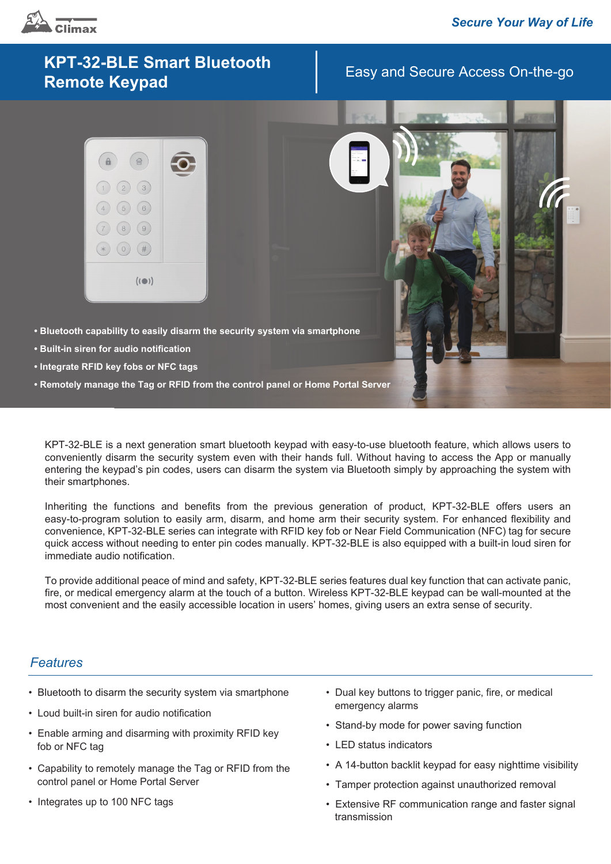

# Easy and Secure Access On-the-go **KPT-32-BLE Smart Bluetooth Remote Keypad**



- **Bluetooth capability to easily disarm the security system via smartphone**
- **Built-in siren for audio notification**
- **Integrate RFID key fobs or NFC tags**
- **Remotely manage the Tag or RFID from the control panel or Home Portal Server**

KPT-32-BLE is a next generation smart bluetooth keypad with easy-to-use bluetooth feature, which allows users to conveniently disarm the security system even with their hands full. Without having to access the App or manually entering the keypad's pin codes, users can disarm the system via Bluetooth simply by approaching the system with their smartphones.

Inheriting the functions and benefits from the previous generation of product, KPT-32-BLE offers users an easy-to-program solution to easily arm, disarm, and home arm their security system. For enhanced flexibility and convenience, KPT-32-BLE series can integrate with RFID key fob or Near Field Communication (NFC) tag for secure quick access without needing to enter pin codes manually. KPT-32-BLE is also equipped with a built-in loud siren for immediate audio notification.

To provide additional peace of mind and safety, KPT-32-BLE series features dual key function that can activate panic, fire, or medical emergency alarm at the touch of a button. Wireless KPT-32-BLE keypad can be wall-mounted at the most convenient and the easily accessible location in users' homes, giving users an extra sense of security.

#### *Features*

- Bluetooth to disarm the security system via smartphone
- Loud built-in siren for audio notification
- Enable arming and disarming with proximity RFID key fob or NFC tag
- Capability to remotely manage the Tag or RFID from the control panel or Home Portal Server
- Integrates up to 100 NFC tags
- Dual key buttons to trigger panic, fire, or medical emergency alarms
- Stand-by mode for power saving function
- LED status indicators
- A 14-button backlit keypad for easy nighttime visibility
- Tamper protection against unauthorized removal
- Extensive RF communication range and faster signal transmission